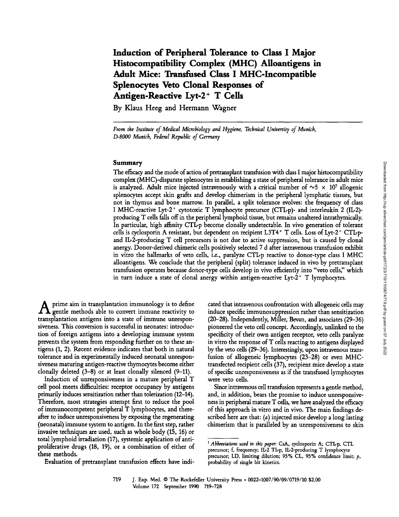# Induction of Peripheral Tolerance to Class <sup>I</sup> Major Histocompatibility Complex (MHC) Alloantigens in Adult Mice: Transfused Class <sup>I</sup> MHC-Incompatible Splenocytes Veto Clonal Responses of Antigen-Reactive Lyt-2<sup>+</sup> T Cells

By Klaus Heeg and Hermann Wagner

From the Institute of Medical Microbiology and Hygiene, Technical University of Munich, D-8000 Munich, Federal Republic of Germany

## Summary

The efficacy and the mode of action of pretransplant transfusion with class I major histocompatibility complex (MHC)-disparate splenocytes in establishing a state of peripheral tolerance in adult mice is analyzed. Adult mice injected intravenously with a critical number of  $\sim$  5  $\times$  10<sup>7</sup> allogenic splenocytes accept skin grafts and develop chimerism in the peripheral lymphatic tissues, but not in thymus and bone marrow. In parallel, a split tolerance evolves: the frequency of class I MHC-reactive Lyt-2<sup>+</sup> cytotoxic T lymphocyte precursor (CTL-p)- and interleukin 2 (IL-2)producing T cells falls off in the peripheral lymphoid tissue, but remains unaltered intrathymically. In particular, high affinity CTLp become clonally undetectable . In vivo generation of tolerant cells is cyclosporin A resistant, but dependent on recipient L3T4+ T cells. Loss of Lyt-2+ CTL-pand IL-2-producing T cell precursors is not due to active suppression, but is caused by clonal anergy. Donor-derived chimeric cells positively selected 7 d after intravenous transfusion exhibit in vitro the hallmarks of veto cells, i.e., paralyze CTL-p reactive to donor-type class I MHC alloantigens. We conclude that the peripheral (split) tolerance induced in vivo by pretransplant transfusion operates because donor-type cells develop in vivo efficiently into "veto cells;' which in turn induce a state of clonal anergy within antigen-reactive  $Lyt-2$ <sup>+</sup> T lymphocytes.

 $\boldsymbol{\Lambda}$  prime aim in transplantation immunology is to define<br>gentle methods able to convert immune reactivity to transplantation antigens into a state of immune unresponsiveness. This conversion is successful in neonates: introduction of foreign antigens into a developing immune system prevents the system from responding further on to these antigens (1, 2). Recent evidence indicates that both in natural tolerance and in experimentally induced neonatal unresponsiveness maturing antigen-reactive thymocytes become either clonally deleted  $(3-8)$  or at least clonally silenced  $(9-11)$ .

Induction of unresponsiveness in <sup>a</sup> mature peripheral T cell pool meets difficulties: receptor occupancy by antigens primarily induces sensitization rather than tolerization (12-14) . Therefore, most strategies attempt first to reduce the pool of immunocompetent peripheral T lymphocytes, and thereafter to induce unresponsiveness by exposing the regenerating (neonatal) immune system to antigen. In the first step, rather invasive techniques are used, such as whole body (15, 16) or total lymphoid irradiation (17), systemic application of antiproliferative drugs (18, 19), or <sup>a</sup> combination of either of these methods.

Evaluation of pretransplant transfusion effects have indi-

cated that intravenous confrontation with allogeneic cells may induce specific immunosuppression rather than sensitization (20-28) . Independently, Miller, Bevan, and associates (29-36) pioneered the veto cell concept. Accordingly, unlinked to the specificity of their own antigen receptor, veto cells paralyze in vitro the response of T cells reacting to antigens displayed by the veto cells (29-36) . Interestingly, upon intravenous transfusion of allogeneic lymphocytes (23-28) or even MHCtransfected recipient cells (37), recipient mice develop a state of specific unresponsiveness as if the transfused lymphocytes were veto cells.

Since intravenous cell transfusion represents a gentle method, and, in addition, bears the promise to induce unresponsiveness in peripheral mature T cells, we have analyzed the efficacy of this approach in vitro and in vivo. The main findings described here are that: (*a*) injected mice develop a long lasting chimerism that is paralleled by an unresponsiveness to skin

<sup>&</sup>lt;sup>1</sup> Abbreviations used in this paper: CsA, cyclosporin A; CTL-p, CTL precursor; f, frequency; IL2 TLp, IL2-producing T lymphocyte precursor; LD, limiting dilution; 95% CL, 95% confidence limit; p, probability of single hit kinetics.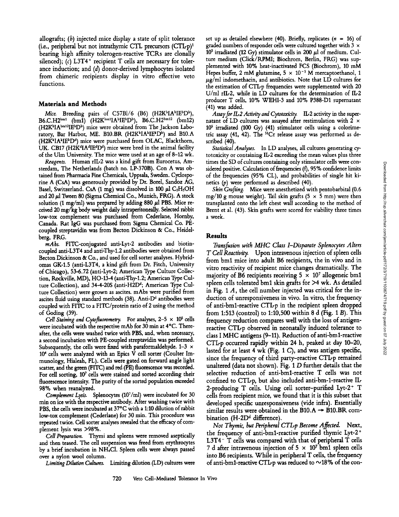allografts; (b) injected mice display <sup>a</sup> state of split tolerance (i.e., peripheral but not intrathymic CTL precursors  $(CTLp)^{1}$ bearing high affinity tolerogen-reactive TCRs are clonally silenced); (c)  $L3T4$ <sup>+</sup> recipient T cells are necessary for tolerance induction; and (d) donor-derived lymphocytes isolated from chimeric recipients display in vitro effective veto functions.

#### Materials and Methods

Mice. Breeding pairs of C57Bl/6 (B6) (H2K<sup>b</sup>IA<sup>b</sup>IE<sup>b</sup>D<sup>b</sup>),  $B6.C.H2^{bm1}$  (bm1) (H2K $^{bm1}$ A<sup>b</sup>IE<sup>b</sup>D<sup>b</sup>), B6.C.H2<sup>bm12</sup> (bm12) (H2KbIAbm'2IEbDb) mice were obtained from The Jackson Laboratory, Bar Harbor, ME. B10.BR (H2K<sup>k</sup>IAkIEkDk) and B10.A (H2KklAkIEkDd) mice were purchased from OLAC, Blackthorn, UK. CB17 (H2K<sup>4</sup>IA<sup>d</sup>IE<sup>d</sup>D<sup>d</sup>) mice were bred in the animal facility of the Ulm University. The mice were used at an age of 8-12 wk.

Reagents. Human rIL-2 was a kind gift from Eurocetus, Amsterdam, The Netherlands (batch no. LP-370B). Con A was obtained from Pharmacia Fine Chemicals, Uppsala, Sweden. Cyclosporine A (CsA) was generously provided by Dr. Borel, Sandoz AG, Basel, Switzerland. CsA (1 mg) was dissolved in 100  $\mu$ l C<sub>2</sub>H<sub>5</sub>OH and  $20 \mu$ l Tween 80 (Sigma Chemical Co., Munich, FRG). A stock solution (1 mg/ml) was prepared by adding 880  $\mu$ l PBS. Mice received 20 mg/kg body weight daily intraperitoneally. Selected rabbit low-tox complement was purchased from Cederlane, Hornby, Canada. Rat IgG was purchased from Sigma Chemical Co. PEcoupled streptavidin was from Becton Dickinson & Co., Heidelberg, FRG.

mAbs. FITC-conjugated anti-Lyt-2 antibodies and biotincoupled anti-L3T4 and antiThy-1.2 antibodies were obtained from Becton Dickinson & Co., and used for cell sorter analyses. Hybridomas GK-1.5 (anti-L3T4, a kind gift from Dr. Fitch, University of Chicago), 53-6.72 (anti-Lyt-2 ; American Type Culture Collection, Rockville, MD), HO-13-4 (antiThy-1.2; American Type Culture Collection), and 34-4-20S (anti-H2D<sup>d</sup>; American Type Culture Collection) were grown as ascites. mAbs were purified from ascites fluid using standard methods (38). Anti-D<sup>d</sup> antibodies were coupled with FITC to <sup>a</sup> FITC/protein ratio of <sup>2</sup> using the method of Goding (39) .

Cell Staining and Cytofluorometry. For analyses,  $2-5 \times 10^5$  cells were incubated with the respective mAb for 30 min at 4°C. Thereafter, the cells were washed twice with PBS, and, when necessary, <sup>a</sup> second incubation with PE-coupled streptavidin was performed . Subsequently, the cells were fixed with paraformaldehyde.  $1-3 \times$ <sup>104</sup> cells were analyzed with an Epics V cell sorter (Coulter Immunology, Hialeah, FL) . Cells were gated on forward angle light scatter, and the green (FITC) and red (PE) fluorescence was recorded. For cell sorting, <sup>10</sup>' cells were stained and sorted according their fluorescence intensity. The purity of the sorted population exceeded 98% when reanalyzed .

Complement Lysis. Splenocytes (10'/ml) were incubated for 30 min on ice with the respective antibody. After washing twice with PBS, the cells were incubated at 37°C with a 1:10 dilution ofrabbit low-tox complement (Cederlane) for 30 min. This procedure was repeated twice. Cell sorter analyses revealed that the efficacy of complement lysis was >98%.

Cell Preparation. Thymi and spleens were removed aseptically and then teased. The cell suspension was freed from erythrocytes by <sup>a</sup> brief incubation in NH4C1. Spleen cells were always passed over <sup>a</sup> nylon wool column.

Limiting Dilution Cultures. Limiting dilution (LD) cultures were

set up as detailed elsewhere (40). Briefly, replicates ( $n = 16$ ) of graded numbers of responder cells were cultured together with 3  $\times$  $10<sup>5</sup>$  irradiated (12 Gy) stimulator cells in 200  $\mu$ l of medium. Culture medium (Click/RPMI; Biochrom, Berlin, FRG) was supplemented with 10% heat-inactivated FCS (Biochrom), <sup>10</sup> mM Hepes buffer, 2 mM glutamine,  $5 \times 10^{-5}$  M mercaptoethanol, 1  $\mu$ g/ml indomethacin, and antibiotics. Note that LD cultures for the estimation of CTLp frequencies were supplemented with <sup>20</sup> U/ml rIL-2, while in LD cultures for the determination of IL-2 producer T cells, 10% WEHI-3 and 10% P388-Dl supernatant (41) was added.

Assay for IL2 Activity and Cytotoxicity. IL-2 activity in the supernatant of LD cultures was assayed after restimulation with 2  $\times$  $10<sup>5</sup>$  irradiated (100 Gy) (41) stimulator cells using a colorimetric assay (41, 42). The <sup>51</sup>Cr release assay was performed as described (40).

Statistical Analyses. In LD analyses, all cultures generating cytotoxicity or containing IIr2 exceeding the mean values plus three times the SD of cultures containing only stimulator cells were considered positive. Calculation of frequencies  $(f)$ , 95% confidence limits of the frequencies (95% CL), and probabilities of single hit kinetics  $(p)$  were performed as described  $(40)$ .

Skin Grafting. Mice were anesthetized with pentobarbital (0.6 mg/10 g mouse weight). Tail skin grafts  $(5 \times 5 \text{ mm})$  were then transplanted onto the left chest wall according to the method of Brent et al. (43). Skin grafts were scored for viability three times <sup>a</sup> week.

#### Results

Transfusion with MHC Class I-Disparate Splenocytes Alters TCell Reactivity. Upon intravenous injection of spleen cells from bml mice into adult B6 recipients, the in vivo and in vitro reactivity of recipient mice changes dramatically. The majority of B6 recipients receiving  $5 \times 10^7$  allogeneic bm1 spleen cells tolerated bm1 skin grafts for  $>4$  wk. As detailed in Fig. 1  $A$ , the cell number injected was critical for the induction of unresponsiveness in vivo. In vitro, the frequency of anti-bml-reactive CTLp in the recipient spleen dropped from 1:513 (control) to 1:10,500 within 8 d (Fig. 1 B). This frequency reduction compares well with the loss of antigenreactive CTLp observed in neonatally induced tolerance to class I MHC antigens (9-11). Reduction of anti-bm1-reactive CTLp occurred rapidly within <sup>24</sup> h, peaked at day 10-20, lasted for at least 4 wk (Fig. <sup>1</sup> C), and was antigen specific, since the frequency of third party-reactive CTL-p remained unaltered (data not shown). Fig. <sup>1</sup> D further details that the selective reduction of anti-bml-reactive T cells was not confined to CTLp, but also included anti-bm-l-reactive II, 2-producing T cells. Using cell sorter-purified Lyt-2+ T cells from recipient mice, we found that it is this subset that developed specific unresponsiveness (vide infra). Essentially similar results were obtained in the B10.A  $\rightarrow$  B10.BR combination (H-2D<sup>d</sup> difference).

Not Thymic, but Peripheral CTLp Become Affected. Next, the frequency of anti-bml-reactive purified thymic Lyt-2+ L3T4<sup>-</sup> T cells was compared with that of peripheral T cells 7 d after intravenous injection of  $5 \times 10^7$  bm1 spleen cells into B6 recipients. While in peripheral T cells, the frequency of anti-bm1-reactive CTL-p was reduced to  $\sim$ 18% of the con-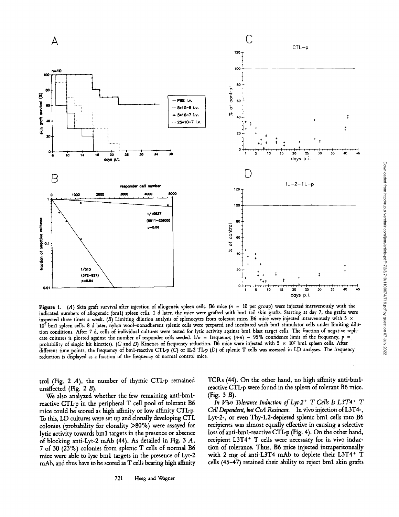

Figure 1. (A) Skin graft survival after injection of allogeneic spleen cells. B6 mice  $(n = 10 \text{ per group})$  were injected intravenously with the indicated numbers of allogeneic (bm1) spleen cells. 1 d later, the mice were grafted with bm1 tail skin grafts. Starting at day 7, the grafts were inspected three times a week. (B) Limiting dilution analysis of splenocytes from tolerant mice. B6 mice were injected intravenously with  $5 \times$ <sup>107</sup> bml spleen cells . 8 d later, nylon wool-nonadherent splenic cells were prepared and incubated with bml stimulator cells under limiting dilution conditions . After <sup>7</sup> d, cells of individual cultures were tested for lytic activity against bml blast target cells . The fraction of negative replicate cultures is plotted against the number of responder cells seeded.  $1/n =$  frequency,  $(n-n) = 95\%$  confidence limit of the frequency,  $p =$ probability of single hit kinetics). (C and D) Kinetics of frequency reduction. Bo mice were injected with  $5 \times 10^7$  bm1 spleen cells. After different time points, the frequency of bm1-reactive CTLp (C) or IL2 TLp (D) of splenic T cells was assessed in LD analyses. The frequency reduction is displayed as a fraction of the frequency of normal control mice .

trol (Fig. 2  $A$ ), the number of thymic CTL-p remained unaffected (Fig. 2 B).

We also analyzed whether the few remaining anti-bmlreactive CTLp in the peripheral T cell pool of tolerant B6 mice could be scored as high affinity or low affinity CTLp. To this, LD cultures were set up and clonally developing CTL colonies (probability for clonality >80%) were assayed for lytic activity towards bml targets in the presence or absence of blocking anti-Lyt-2 mAb (44). As detailed in Fig. 3  $A$ , <sup>7</sup> of 30 (23%) colonies from splenic T cells of normal B6 mice were able to lyse bml targets in the presence of Lyt-2 mAb, and thus have to be scored as T cells bearing high affinity TCRs (44). On the other hand, no high affinity anti-bmlreactive CTLp were found in the spleen of tolerant B6 mice. (Fig.  $3 B$ ).

In Vivo Tolerance Induction of Lyt-2<sup>+</sup> T Cells Is  $L3T4$ <sup>+</sup> T Cell Dependent, but CsA Resistant. In vivo injection of L3T4-, Lyt-2-, or even Thy-1.2-depleted splenic bml cells into B6 recipients was almost equally effective in causing a selective loss of anti-bml-reactive CTLp (Fig. 4) . On the other hand, recipient L3T4<sup>+</sup> T cells were necessary for in vivo induction of tolerance. Thus, B6 mice injected intraperitoneally with <sup>2</sup> mg of anti-L3T4 mAb to deplete their L3T4+ T cells (45-47) retained their ability to reject bml skin grafts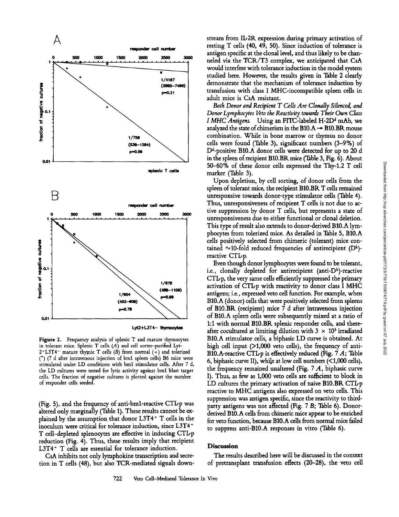

Figure 2. Frequency analysis of splenic T and mature thymocytes in tolerant mice. Splenic T cells  $(A)$  and cell sorter-purified Lyt- $2+L3T4$ - mature thymic T cells (B) from normal (+) and tolerized (') (7 <sup>d</sup> after intravenous injection of bml spleen cells) B6 mice were stimulated under LD conditions with bml stimulator cells. After 7 d, the LD cultures were tested for lyric activity against bm1 blast target cells. The fraction of negative cultures is plotted against the number

of responder cells seeded .

(Fig. 5), and the frequency of anti-bm1-reactive  $CTLp$  was altered only marginally (Table 1). These results cannot be explained by the assumption that donor L3T4+ T cells in the inoculum were critical for tolerance induction, since L3T4+ T cell-depleted splenocytes are effective in inducing CTIrp reduction (Fig. 4). Thus, these results imply that recipient L3T4+ T cells are essential for tolerance induction.

CsA inhibits not only lymphokine transcription and secretion in T cells (48), but also TCR-mediated signals downstream from IL-2R expression during primary activation of resting T cells (40, 49, 50). Since induction of tolerance is antigen specific at the clonal level, and thus likely to be channeled via the TCR/T3 complex, we anticipated that CsA would interfere with tolerance induction in the model system studied here. However, the results given in Table 2 clearly demonstrate that the mechanism of tolerance induction by transfusion with class <sup>I</sup> MHC-incompatible spleen cells in adult mice is CsA resistant.

Both Donor and Recipient T Cells Are Clonally Silenced, and Donor Lymphocytes Veto the Reactivity towards Their Own Class *I MHC Antigens.* Using an FITC-labeled H-2D<sup>d</sup> mAb, we analyzed the state of chimerism in the B10.A  $\rightarrow$  B10.BR mouse combination. While in bone marrow or thymus no donor cells were found (Table 3), significant numbers (3-9%) of D<sup>d</sup>-positive B10.A donor cells were detected for up to 20 d in the spleen of recipient B10.BR mice (Table 3, Fig. 6). About 50-60% of these donor cells expressed the Thy-1.2 T cell marker (Table 3).

Upon depletion, by cell sorting, of donor cells from the spleen of tolerant mice, the recipient B10.BR T cells remained unresponsive towards donor-type stimulator cells (Table 4). Thus, unresponsiveness of recipient T cells is not due to active suppression by donor T cells, but represents <sup>a</sup> state of unresponsiveness due to either functional or clonal deletion. This type of result also extends to donor-derived B10.A lymphocytes from tolerized mice. As detailed in Table 5, B10.A cells positively selected from chimeric (tolerant) mice contained  $\sim$ 10-fold reduced frequencies of antirecipient (D<sup>k</sup>)reactive CTL-p.

Even though donor lymphocytes were found to be tolerant, i.e., clonally depleted for antirecipient (anti- $D<sup>k</sup>$ )-reactive CTL<sub>p</sub>, the very same cells efficiently suppressed the primary activation of CTIrp with reactivity to donor class <sup>I</sup> MHC antigens; i.e., expressed veto cell function. For example, when B10.A (donor) cells that were positively selected from spleens of \$10.BR (recipient) mice 7 d after intravenous injection of B10.A spleen cells were subsequently mixed at <sup>a</sup> ratio of 1:1 with normal B10.BR splenic responder cells, and thereafter cocultured at limiting dilution with  $3 \times 10^5$  irradiated B10.A stimulator cells, <sup>a</sup> biphasic LD curve is obtained. At high cell input  $(>1,000$  veto cells), the frequency of anti-B10.A-reactive CTL-p is effectively reduced (Fig.  $7 \text{ } A$ ; Table 6, biphasic curve II), while at low cell numbers (<1,000 cells), the frequency remained unaltered (Fig.  $7 \text{ Å}$ , biphasic curve I). Thus, as few as 1,000 veto cells are sufficient to block in LD cultures the primary activation of naive B10.BR  $CTLp$ reactive to MHC antigens also expressed on veto cells. This suppression was antigen specific, since the reactivity to thirdparty antigens was not affected (Fig. 7 B; Table 6). Donorderived B10.A cells from chimeric mice appear to be enriched for veto function, because B10.A cells from normal mice failed to suppress anti-B10.A responses in vitro (Table 6).

### Discussion

The results described here will be discussed in the context of pretransplant transfusion effects (20-28), the veto cell Downloaded from http://rup.silverchair.com/jem/article-pdf/172/3/719/1100674/719.pdf by guest on 07 July 2022

Downloaded from http://rup.sliverchair.com/jem/article-pdfl172/3/719/1100674/719.pdf by guest on 07 July 2022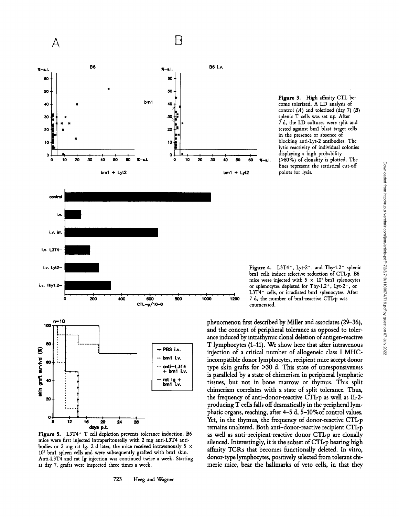

B

Figure 3. High affinity CTL become tolerized . A LD analysis of control  $(A)$  and tolerized (day 7)  $(B)$ splenic T cells was set up. After <sup>7</sup> d, the LD cultures were split and tested against bml blast target cells in the presence or absence of blocking anti-Lyt-2 antibodies. The lytic reactivity of individual colonies displaying a high probability 40 50 60  $\pi$ -a.l. (>80%) of clonality is plotted. The lines represent the statistical cut-off

Figure 4. L3T4 $^{-}$ , Lyt-2 $^{-}$ , and Thy-1.2 $^{-}$  splenic bm1 cells induce selective reduction of CTLp. B6 mice were injected with  $5 \times 10^7$  bm1 splenocytes or splenocytes depleted for Thy-1.2<sup>+</sup>, Lyt-2<sup>+</sup>, or L3T4+ cells, or irradiated bml splenocytes. After 1200 7 d, the number of bm1-reactive CTLp was enumerated.

phenomenon first described by Miller and associates (29-36), and the concept of peripheral tolerance as opposed to tolerance induced by intrathymic clonal deletion of antigen-reactive T lymphocytes (1-11) . We show here that after intravenous injection of <sup>a</sup> critical number of allogeneic class <sup>I</sup> MHCincompatible donor lymphocytes, recipient mice accept donor type skin grafts for >30 d. This state of unresponsiveness is paralleled by a state of chimerism in peripheral lymphatic tissues, but not in bone marrow or thymus. This split chimerism correlates with <sup>a</sup> state of split tolerance. Thus, the frequency of anti-donor-reactive CTL-p as well as IL-2producing T cells falls off dramatically in the peripheral lymphatic organs, reaching, after 4-5 d, 5-10%of control values. Yet, in the thymus, the frequency of donor-reactive CTLp remains unaltered. Both anti-donor-reactive recipient CTLp as well as anti-recipient-reactive donor CTL-p are clonally silenced. Interestingly, it is the subset of CTLp bearing high affinity TCRs that becomes functionally deleted. In vitro, donor-type lymphocytes, positively selected from tolerant chimeric mice, bear the hallmarks of veto cells, in that they

Figure 5. L3T4+ T cell depletion prevents tolerance induction. B6 mice were first injected intraperitoneally with 2 mg anti-L3T4 antibodies or 2 mg rat Ig. 2 d later, the mice received intravenously 5  $\times$ 107 bm1 spleen cells and were subsequently grafted with bm1 skin. Anti-L3T4 and rat Ig injection was continued twice a week. Starting at day 7, grafts were inspected three times <sup>a</sup> week.

days p.L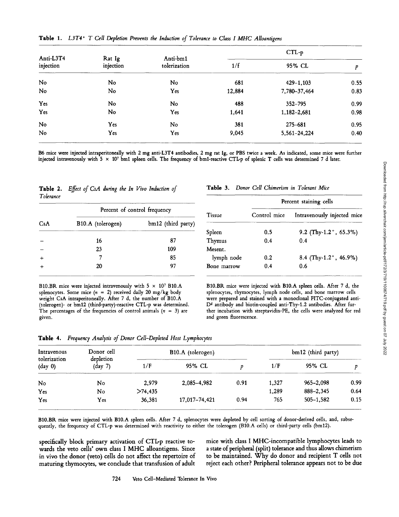| Anti-L3T4<br>injection |                     |                          | $CTL-p$ |               |      |  |  |
|------------------------|---------------------|--------------------------|---------|---------------|------|--|--|
|                        | Rat Ig<br>injection | Anti-bm1<br>tolerization | 1/f     | 95% CL        | p    |  |  |
| No                     | No                  | No                       | 681     | $429 - 1,103$ | 0.55 |  |  |
| No                     | No                  | Yes                      | 12,884  | 7,780-37,464  | 0.83 |  |  |
| Yes                    | No                  | No                       | 488     | 352-795       | 0.99 |  |  |
| Yes                    | No                  | Yes                      | 1,641   | 1,182-2,681   | 0.98 |  |  |
| No                     | Yes                 | No                       | 381     | 275-681       | 0.95 |  |  |
| No                     | Yes                 | Yes                      | 9,045   | 5,561-24,224  | 0.40 |  |  |

Table 1. L3T4\* T Cell Depletion Prevents the Induction of Tolerance to Class <sup>I</sup> MHC Alloantigens

B6 mice were injected intraperitoneally with 2 mg anti-L3T4 antibodies, 2 mg rat Ig, or PBS twice <sup>a</sup> week . As indicated, some mice were further injected intravenously with  $5 \times 10^7$  bm1 spleen cells. The frequency of bm1-reactive CTLp of splenic T cells was determined 7 d later.

Table 2. Effect of CsA during the In Vivo Induction of Tolerance

|     |                   |                              |             | rercent staining cens |                                    |  |  |
|-----|-------------------|------------------------------|-------------|-----------------------|------------------------------------|--|--|
|     |                   | Percent of control frequency |             |                       | Intravenously injected mi          |  |  |
| CsA | B10.A (tolerogen) | bm12 (third party)           |             |                       |                                    |  |  |
|     |                   |                              | Spleen      | 0.5                   | 9.2 (Thy-1.2 <sup>+</sup> , 65.3%) |  |  |
|     | 16                | 87                           | Thymus      | 0.4                   | 0.4                                |  |  |
|     | 23                | 109                          | Mesent.     |                       |                                    |  |  |
| $+$ |                   | 85                           | lymph node  | 0.2                   | 8.4 (Thy-1.2 <sup>+</sup> , 46.9%) |  |  |
|     | 20                | 97                           | Bone marrow | 0.4                   | 0.6                                |  |  |
|     |                   |                              |             |                       |                                    |  |  |

#### B10.BR mice were injected intravenously with  $5 \times 10^7$  B10.A splenocytes. Some mice  $(n = 2)$  received daily 20 mg/kg body weight CsA intraperitoneally. After <sup>7</sup> d, the number of B10.A (tolerogen)- or bm12 (third-party)-reactive CTL-p was determined. The percentages of the frequencies of control animals  $(n = 3)$  are given.

Table 3. Donor Cell Chimerism in Tolerant Mice

| Percent staining cells |                                    |  |  |  |  |  |
|------------------------|------------------------------------|--|--|--|--|--|
| Control mice           | Intravenously injected mice        |  |  |  |  |  |
| 0.5                    | 9.2 (Thy-1.2 <sup>+</sup> , 65.3%) |  |  |  |  |  |
| 0.4                    | 0.4                                |  |  |  |  |  |
|                        |                                    |  |  |  |  |  |
| 0.2                    | 8.4 (Thy-1.2 <sup>+</sup> , 46.9%) |  |  |  |  |  |
| 0.4                    | 0.6                                |  |  |  |  |  |
|                        |                                    |  |  |  |  |  |

B10.BR mice were injected with B10.A spleen cells . After 7 d, the splenocytes, thymocytes, lymph node cells, and bone marrow cells were prepared and stained with a monoclonal FITC-conjugated anti-D<sup>d</sup> antibody and biotin-coupled anti-Thy-1.2 antibodies. After further incubation with streptavidin-PE, the cells were analyzed for red and green fluorescence .

Table 4. Frequency Analysis of Donor Cell-Depleted Host Lymphocytes

| Intravenous<br>tolerization<br>$(\text{day } 0)$ | Donor cell                   |         | B10.A (tolerogen) |      |       | bm12 (third party) |      |  |
|--------------------------------------------------|------------------------------|---------|-------------------|------|-------|--------------------|------|--|
|                                                  | depletion<br>$\frac{day}{?}$ | 1/F     | 95% CL            |      | 1/F   | 95% CL             |      |  |
| No                                               | No                           | 2.979   | 2,085–4,982       | 0.91 | 1.327 | 965-2.098          | 0.99 |  |
| Yes                                              | No                           | >74.435 |                   |      | 1,289 | 888-2.345          | 0.64 |  |
| Yes                                              | Yes                          | 36,381  | 17.017-74.421     | 0.94 | 765   | $505 - 1.582$      | 0.15 |  |

B10.BR mice were injected with B10.A spleen cells . After <sup>7</sup> d, splenocytes were depleted by cell sorting of donor-derived cells, and, subsequently, the frequency of CTL-p was determined with reactivity to either the tolerogen (B10.A cells) or third-party cells (bm12).

specifically block primary activation of CTLp reactive towards the veto cells' own class <sup>I</sup> MHC alloantigens. Since in vivo the donor (veto) cells do not affect the repertoire of maturing thymocytes, we conclude that transfusion of adult mice with class <sup>I</sup> MHC-incompatible lymphocytes leads to a state of peripheral (split) tolerance and thus allows chimerism to be maintained. Why do donor and recipient T cells not reject each other? Peripheral tolerance appears not to be due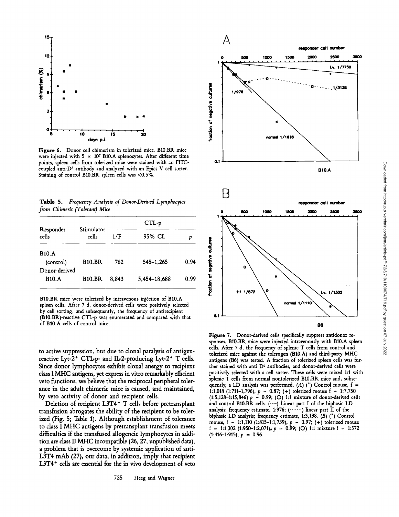

Figure 6. Donor cell chimerism in tolerized mice. B10.BR mice were injected with 5  $\times$  107 B10.A splenocytes. After different time points, spleen cells from tolerized mice were stained with an FITCcoupled anti-D<sup>d</sup> antibody and analyzed with an Epics V cell sorter. Staining of control B10.BR spleen cells was <0.5%.

Table 5. Frequency Analysis of Donor-Derived Lymphocytes from Chimeric (Tolerant) Mice

|                            |                     | $CTL-p$ |              |      |  |  |
|----------------------------|---------------------|---------|--------------|------|--|--|
| Responder<br>cells         | Stimulator<br>cells | 1/F     | 95% CL       |      |  |  |
| <b>B10.A</b>               |                     |         |              |      |  |  |
| (control)<br>Donor-derived | <b>B10.BR</b>       | 762     | 545-1,265    | 0.94 |  |  |
| <b>B10.A</b>               | <b>B10.BR</b>       | 8.843   | 5,454-18,688 | 0.99 |  |  |

B10.BR mice were tolerized by intravenous injection of B10 .A spleen cells. After 7 d, donor-derived cells were positively selected by cell sorting, and subsequently, the frequency of antirecipient (B10 .BR)-reactive CTL-p was enumerated and compared with that of B10.A cells of control mice.

to active suppression, but due to clonal paralysis of antigenreactive Lyt- $2^+$  CTL-p- and IL-2-producing Lyt- $2^+$  T cells. Since donor lymphocytes exhibit clonal anergy to recipient class <sup>I</sup> MHC antigens, yet express in vitro remarkably efficient veto functions, we believe that the reciprocal peripheral tolerance in the adult chimeric mice is caused, and maintained, by veto activity of donor and recipient cells.

Deletion of recipient L3T4+ T cells before pretransplant transfusion abrogates the ability of the recipient to be tolerized (Fig. 5; Table 1). Although establishment of tolerance to class <sup>I</sup> MHC antigens by pretransplant transfusion meets difficulties if the transfused allogeneic lymphocytes in addition are class II MHC incompatible (26, 27, unpublished data), a problem that is overcome by systemic application of anti-L3T4 mAb (27), our data, in addition, imply that recipient L3T4<sup>+</sup> cells are essential for the in vivo development of veto



Figure 7. Donor-derived cells specifically suppress antidonor responses. B10.BR mice were injected intravenously with B10.A spleen cells. After <sup>7</sup> d, the frequency of splenic T cells from control and tolerized mice against the tolerogen (B10.A) and third-party MHC antigens (B6) was tested. A fraction of tolerized spleen cells was further stained with anti Dd antibodies, and donor-derived cells were positively selected with a cell sorter. These cells were mixed 1:1 with splenic T cells from normal nontolerized B10.BR mice and, subsequently, a LD analysis was performed. (A)  $(*)$  Control mouse, f = 1:1,018 (1:711-1,796),  $p = 0.87$ ; (+) tolerized mouse f = 1:7,750  $(1:5,128-1:15,846) p = 0.99; (O) 1:1$  mixture of donor-derived cells and control B10.BR cells. (----) Linear part I of the biphasic LD analysis; frequency estimate, 1:976;  $(\cdots \cdots)$  linear part II of the biphasic LD analysis; frequency estimate, 1:3,138. (B) (\*) Control mouse,  $f = 1:1,110$  (1:815-1:1,739),  $p = 0.97$ ; (+) tolerized mouse  $f = 1:1,302$  (1:950-1:2,071),  $p = 0.99$ ; (O) 1:1 mixture  $f = 1:572$  $(1:416-1:915), p = 0.96.$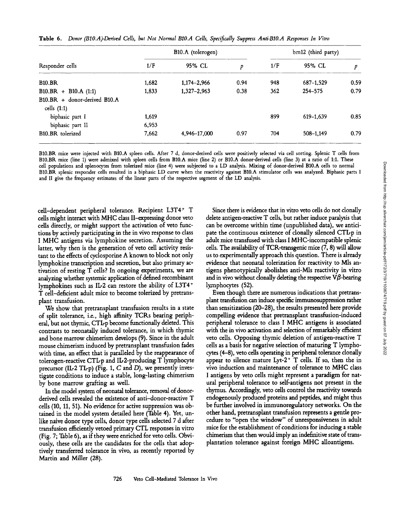|  |  |  |  |  |  |  | Table 6. Donor (B10.A)-Derived Cells, but Not Normal B10.A Cells, Specifically Suppress Anti-B10.A Responses In Vitro |  |
|--|--|--|--|--|--|--|-----------------------------------------------------------------------------------------------------------------------|--|
|--|--|--|--|--|--|--|-----------------------------------------------------------------------------------------------------------------------|--|

|                              | B10.A (tolerogen) |               |      | bm12 (third party) |           |      |
|------------------------------|-------------------|---------------|------|--------------------|-----------|------|
| Responder cells              | 1/F               | 95% CL        | p    | 1/F                | 95% CL    | p    |
| <b>B10.BR</b>                | 1,682             | 1,174-2,966   | 0.94 | 948                | 687-1,529 | 0.59 |
| $B10.BR + B10.A (1:1)$       | 1,833             | $1,327-2,963$ | 0.38 | 362                | 254-575   | 0.79 |
| B10.BR + donor-derived B10.A |                   |               |      |                    |           |      |
| cells $(1:1)$                |                   |               |      |                    |           |      |
| biphasic part I              | 1,619             |               |      | 899                | 619-1.639 | 0.85 |
| biphasic part II             | 6,953             |               |      |                    |           |      |
| B10.BR tolerized             | 7,662             | 4,946-17,000  | 0.97 | 704                | 508-1.149 | 0.79 |

B10.BR mice were injected with B10.A spleen cells. After <sup>7</sup> d, donor-derived cells were positively selected via cell sorting. Splenic T cells from B10.BR mice (line 1) were admixed with spleen cells from B10.A mice (line 2) or B10.A donor-derived cells (line 3) at a ratio of 1:1. These cell populations and splenocytes from tolerized mice (line 4) were subjected to <sup>a</sup> LD analysis . Mixing of donor-derived B10.A cells to normal B10.BR splenic responder cells resulted in a biphasic LD curve when the reactivity against B10.A stimulator cells was analyzed . Biphasic parts <sup>I</sup> and II give the frequency estimates of the linear parts of the respective segment of the LD analysis.

cell-dependent peripheral tolerance. Recipient L3T4+ T cells might interact with MHC class II-expressing donor veto cells directly, or might support the activation of veto functions by actively participating in the in vivo response to class <sup>I</sup> MHC antigens via lymphokine secretion . Assuming the latter, why then is the generation of veto cell activity resistant to the effects of cyclosporine A known to block not only lymphokine transcription and secretion, but also primary activation of resting T cells? In ongoing experiments, we are analyzing whether systemic application of defined recombinant lymphokines such as IIr2 can restore the ability of L3T4+ T cell-deficient adult mice to become tolerized by pretransplant transfusion.

We show that pretransplant transfusion results in <sup>a</sup> state of split tolerance, i.e., high affinity TCRs bearing peripheral, but not thymic, CTLp become functionally deleted. This contrasts to neonatally induced tolerance, in which thymic and bone marrow chimerism develops (9) . Since in the adult mouse chimerism induced by pretransplant transfusion fades with time, an effect that is paralleled by the reappearance of tolerogen-reactive CTIrp and IL2-producing T lymphocyte precursor (IL-2 TL-p) (Fig. 1, C and D), we presently investigate conditions to induce a stable, long-lasting chimerism by bone marrow grafting as well.

In the model system of neonatal tolerance, removal of donorderived cells revealed the existence of anti-donor-reactive T cells (10, 11, 51) . No evidence for active suppression was obtained in the model system detailed here (Table 4). Yet, unlike naive donor type cells, donor type cells selected 7 d after transfusion efficiently vetoed primary CTL responses in vitro (Fig. 7; Table 6), as if they were enriched for veto cells. Obviously, these cells are the candidates for the cells that adoptively transferred tolerance in vivo, as recently reported by Martin and Miller (28) .

Since there is evidence that in vitro veto cells do not clonally delete antigen-reactive T cells, but rather induce paralysis that can be overcome within time (unpublished data), we anticipate the continuous existence of clonally silenced CTL-p in adult mice transfused with class <sup>I</sup> MHC-incompatible splenic cells. The availability of TCR-transgenic mice  $(7, 8)$  will allow us to experimentally approach this question. There is already evidence that neonatal tolerization for reactivity to Mls antigens phenotypically abolishes anti-Mls reactivity in vitro and in vivo without clonally deleting the respective  $V\beta$ -bearing lymphocytes (52) .

Even though there are numerous indications that pretransplant transfusion can induce specific immunosuppression rather than sensitization (20-28), the results presented here provide compelling evidence that pretransplant transfusion-induced peripheral tolerance to class <sup>I</sup> MHC antigens is associated with the in vivo activation and selection of remarkably efficient veto cells. Opposing thymic deletion of antigen-reactive T cells as <sup>a</sup> basis for negative selection of maturing T lymphocytes (4-8), veto cells operating in peripheral tolerance clonally appear to silence mature Lyt- $2^+$  T cells. If so, then the in vivo induction and maintenance of tolerance to MHC class <sup>I</sup> antigens by veto cells might represent <sup>a</sup> paradigm for natural peripheral tolerance to self-antigens not present in the thymus. Accordingly, veto cells control the reactivity towards endogenously produced proteins and peptides, and might thus be further involved in immunoregulatory networks . On the other hand, pretransplant transfusion represents a gentle procedure to "open the window" of unresponsiveness in adult mice for the establishment of conditions for inducing a stable chimerism that then would imply an indefinitive state of transplantation tolerance against foreign MHC alloantigens.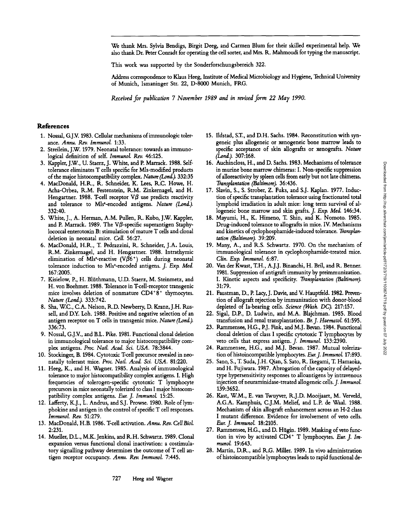We thank Mrs. Sylvia Bendigs, Birgit Deeg, and Carmen Blum for their skilled experimental help. We also thank Dr. Peter Conradt for operating the cell sorter, and Mrs. R. Mahmoudi for typing the manuscript .

This work was supported by the Sonderforschungsbereich 322.

Address correspondence to Klaus Heeg, Institute of Medical Microbiology and Hygiene, Technical University of Munich, Ismaninger Str. 22, D-8000 Munich, FRG.

Received for publication 7 November 1989 and in revised form 22 May 1990.

## References

- 1. Nossal, G.J.V. 1983. Cellular mechanisms of immunologic tolerance. Annu. Rev. Immunol. 1:33.
- 2. Streilein, J.W. 1979 . Neonatal tolerance: towards an immunological definition of self. Immunol. Rev. 46:125.
- 3. Kappler, J.W., U. Staerz, J. White, and P. Marrack. <sup>1988</sup> . Selftolerance eliminates T cells specific for Mls-modified products of the major histocompatibility complex. Nature (Lond.). 332:35
- 4. MacDonald, H.R., R. Schneider, K. Lees, R.C. Howe, H. Acha-Orbea, R.M. Festenstein, R.M. Zinkernagel, and H. Hengartner. 1988. T-cell receptor  $V\beta$  use predicts reactivity and tolerance to Mls<sup>2</sup>-encoded antigens. Nature (Lond.). 332:40.
- 5. White, J., A. Herman, A.M. Pullen, R. Kubo, J.W. Kappler, and P. Marrack. 1989. The V $\beta$ -specific superantigen Staphylococcal enterotoxin B: stimulation of mature T cells and clonal deletion in neonatal mice. Cell. 56:27.
- 6. MacDonald, H.R., T. Pedrazzini, R. Schneider, J.A . Louis, R.M. Zinkernagel, and H. Hengartner. <sup>1988</sup> . Intrathymic elimination of Mls<sup>2</sup>-reactive (V $\tilde{\beta6}^*$ ) cells during neonatal tolerance induction to Mls<sup>2</sup>-encoded antigens. J. Exp. Med. 167:2005.
- 7. Kisielow, P., H. Bluthmann, U.D. Staerz, M. Steinmetz, and H. von Boehmer. 1988. Tolerance in T-cell-receptor transgenic mice involves deletion of nonmature CD4'8' thymocytes. Nature (Lond.). 333:742 .
- 8. Sha, WC., C.A. Nelson, R.D. Newberry, D. Kranz, J.H. Russell, and D.Y. Loh. 1988. Positive and negative selection of an antigen receptor on T cells in transgenic mice. Nature (Lond.). 336:73.
- 9. Nossal, GJV, and B.L . Pike. 1981. Functional clonal deletion in immunological tolerance to major histocompatibility complex antigens. Proc. Natl. Acad. Sci. USA. 78:3844.
- 10. Stockinger, B. 1984. Cytotoxic T-cell precursor revealed in neonatally tolerant mice. Proc. Natl. Acad. Sci. USA. 81:220.
- <sup>11</sup> . Heeg, K., and H. Wagner. <sup>1985</sup> . Analysis of immunological tolerance to major histocompatibility complex antigens. I. High frequencies of tolerogen-specific cytotoxic T lymphocyte precursors in mice neonatally tolerized to class <sup>I</sup> major histocompatibility complex antigens. Eur. J. Immunol. 15:25.
- 12. Lafferty, K.J., L. Andrus, and S.J. Prowse. 1980. Role of lymphokine and antigen in the control of specific T cell responses. Immunol. Rev. 51:279.
- 13. MacDonald, H.B. 1986. T-cell activation. Annu. Rev. Cell Biol.  $2:231$
- 14. Mueller, D.L., M.K. Jenkins, and R.H. Schwartz. 1989. Clonal expansion versus functional clonal inactivation: a costimulatory signalling pathway determines the outcome of T cell antigen receptor occupancy. Annu. Rev. Immunol. 7:445.
- 15. Ildstad, S.T., and D.H. Sachs. 1984. Reconstitution with syngeneic plus allogeneic or xenogeneic bone marrow leads to specific acceptance of skin allografts or xenografts. Nature (Lond.). 307:168.
- 16. Auchincloss, H., and D. Sachs. 1983. Mechanisms of tolerance in murine bone marrow chimeras: I. Non-specific suppression ofalloreactivity by spleen cells from early but not late chimeras. Transplantation (Baltimore). 36:436 .
- 17. Slavin, S., S. Strober, Z. Fuks, and S.J. Kaplan. 1977. Induction of specific transplantation tolerance using fractionated total lymphoid irradiation in adult mice: long term survival of allogeneic bone marrow and skin grafts. J. Exp. Med. 146:34.
- 18. Mayumi, H., K. Himeno, T. Shin, and K. Nomoto. 1985. Drug-induced tolerance to allografts in mice. IV. Mechanisms and kinetics of cyclophosphamide-induced tolerance. Transplantation (Baltimore). 39:209.
- <sup>19</sup> . Many, A., and R.S. Schwartz . 1970. On the mechanism of immunological tolerance in cyclophosphamide-treated mice. Clin. Exp. Immunol. 6:87.
- <sup>20</sup> . Van der Kwast, TH., A.J .J . Binanchi, H. Bril, and R. Benner. 1981. Suppression of antigraft immunity by preimmunization. I. Kinetic aspects and specificity. Transplantation (Baltimore). 31 :79.
- 21. Faustman, D., P. Lacy, J. Davie, and V. Hauptfeld. 1982. Prevention of allograft rejection by immunization with donor-blood depleted of la-bearing cells. Science (Wash. DC). 217:157 .
- 22. Sigal, D.P., D. Ludwin, and M.A. Blajchman. 1985. Blood transfusion and renal transplantation. Br. J. Haematol. 61:595.
- 23. Rammensee, H.G., P.J. Fink, and M.J. Bevan. 1984. Functional clonal deletion of class <sup>I</sup> specific cytotoxic T lymphocytes by veto cells that express antigen. J. Immunol. 133:2390.
- 24. Rammensee, H.G., and M.J. Bevan. 1987. Mutual tolerization of histoincompatible lymphocytes. Eur. J. Immunol. 17:893.
- 25. Sano, S., T. Suda, J.H. Qian, S. Sato, R. Ikegami, T. Hamaoka, and H. Fujiwara. 1987. Abrogation of the capacity of delayedtype hypersensitivity responses to alloantigens by intravenous injection of neuraminidase-treated allogeneic cells. J. Immunol. 139:3652.
- <sup>26</sup> . Kast, W.M., E. van Twuyver, R.J .D. Mooijaart, M. Verveld, A.G.A . Kamphuis, C.J .M. Melief, and L.P. de Waal. 1988. Mechanism of skin allograft enhancement across an H-2 class I mutant difference. Evidence for involvement of veto cells. Eur. J. Immunol. <sup>18</sup> :2105.
- 27. Rammensee, H.G., and D. Hügin. 1989. Masking of veto function in vivo by activated CD4' T lymphocytes. Eur. J. Immunol. 19 :643 .
- 28. Martin, D.R., and R.G. Miller. 1989. In vivo administration ofhistoincompatible lymphocytes leads to rapid functional de-